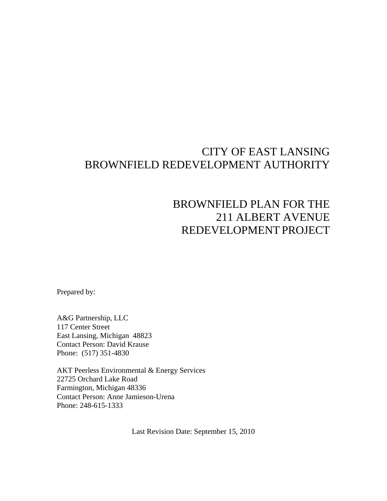# CITY OF EAST LANSING BROWNFIELD REDEVELOPMENT AUTHORITY

# BROWNFIELD PLAN FOR THE 211 ALBERT AVENUE REDEVELOPMENT PROJECT

Prepared by:

A&G Partnership, LLC 117 Center Street East Lansing, Michigan 48823 Contact Person: David Krause Phone: (517) 351-4830

AKT Peerless Environmental & Energy Services 22725 Orchard Lake Road Farmington, Michigan 48336 Contact Person: Anne Jamieson-Urena Phone: 248-615-1333

Last Revision Date: September 15, 2010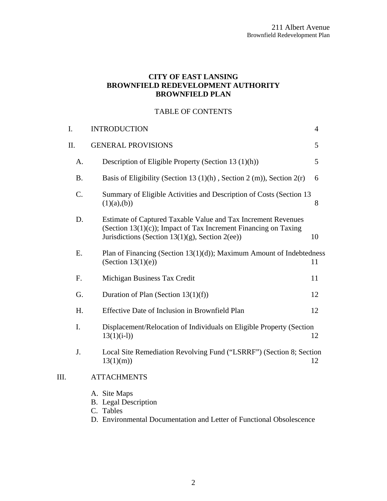## **CITY OF EAST LANSING BROWNFIELD REDEVELOPMENT AUTHORITY BROWNFIELD PLAN**

# TABLE OF CONTENTS

| I.   |           | <b>INTRODUCTION</b>                                                                                                                                                                 | 4  |
|------|-----------|-------------------------------------------------------------------------------------------------------------------------------------------------------------------------------------|----|
|      | II.       | <b>GENERAL PROVISIONS</b>                                                                                                                                                           | 5  |
|      | A.        | Description of Eligible Property (Section 13 (1)(h))                                                                                                                                | 5  |
|      | <b>B.</b> | Basis of Eligibility (Section 13 $(1)(h)$ , Section 2 $(m)$ ), Section 2 $(r)$                                                                                                      | 6  |
|      | C.        | Summary of Eligible Activities and Description of Costs (Section 13<br>(1)(a),(b))                                                                                                  | 8  |
|      | D.        | Estimate of Captured Taxable Value and Tax Increment Revenues<br>(Section 13(1)(c)); Impact of Tax Increment Financing on Taxing<br>Jurisdictions (Section 13(1)(g), Section 2(ee)) | 10 |
|      | E.        | Plan of Financing (Section $13(1)(d)$ ); Maximum Amount of Indebtedness<br>(Section $13(1)(e)$ )                                                                                    | 11 |
|      | F.        | Michigan Business Tax Credit                                                                                                                                                        | 11 |
|      | G.        | Duration of Plan (Section $13(1)(f)$ )                                                                                                                                              | 12 |
|      | H.        | Effective Date of Inclusion in Brownfield Plan                                                                                                                                      | 12 |
|      | I.        | Displacement/Relocation of Individuals on Eligible Property (Section<br>$13(1)(i-1)$                                                                                                | 12 |
|      | J.        | Local Site Remediation Revolving Fund ("LSRRF") (Section 8; Section<br>13(1)(m)                                                                                                     | 12 |
| III. |           | <b>ATTACHMENTS</b>                                                                                                                                                                  |    |
|      |           | A. Site Maps<br><b>B.</b> Legal Description<br>C. Tables                                                                                                                            |    |

D. Environmental Documentation and Letter of Functional Obsolescence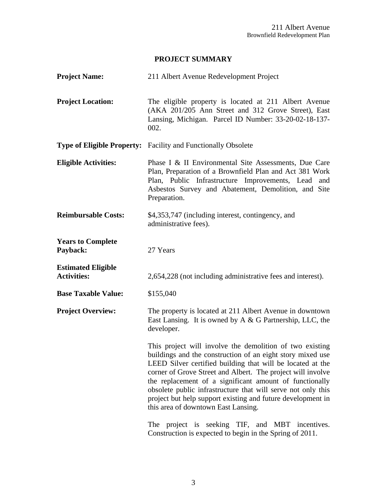# **PROJECT SUMMARY**

| <b>Project Name:</b>                            | 211 Albert Avenue Redevelopment Project                                                                                                                                                                                                                                                                                                                                                                                                                                                                                                 |
|-------------------------------------------------|-----------------------------------------------------------------------------------------------------------------------------------------------------------------------------------------------------------------------------------------------------------------------------------------------------------------------------------------------------------------------------------------------------------------------------------------------------------------------------------------------------------------------------------------|
| <b>Project Location:</b>                        | The eligible property is located at 211 Albert Avenue<br>(AKA 201/205 Ann Street and 312 Grove Street), East<br>Lansing, Michigan. Parcel ID Number: 33-20-02-18-137-<br>002.                                                                                                                                                                                                                                                                                                                                                           |
|                                                 | <b>Type of Eligible Property:</b> Facility and Functionally Obsolete                                                                                                                                                                                                                                                                                                                                                                                                                                                                    |
| <b>Eligible Activities:</b>                     | Phase I & II Environmental Site Assessments, Due Care<br>Plan, Preparation of a Brownfield Plan and Act 381 Work<br>Plan, Public Infrastructure Improvements, Lead<br>and<br>Asbestos Survey and Abatement, Demolition, and Site<br>Preparation.                                                                                                                                                                                                                                                                                        |
| <b>Reimbursable Costs:</b>                      | \$4,353,747 (including interest, contingency, and<br>administrative fees).                                                                                                                                                                                                                                                                                                                                                                                                                                                              |
| <b>Years to Complete</b><br>Payback:            | 27 Years                                                                                                                                                                                                                                                                                                                                                                                                                                                                                                                                |
| <b>Estimated Eligible</b><br><b>Activities:</b> | 2,654,228 (not including administrative fees and interest).                                                                                                                                                                                                                                                                                                                                                                                                                                                                             |
| <b>Base Taxable Value:</b>                      | \$155,040                                                                                                                                                                                                                                                                                                                                                                                                                                                                                                                               |
| <b>Project Overview:</b>                        | The property is located at 211 Albert Avenue in downtown<br>East Lansing. It is owned by A & G Partnership, LLC, the<br>developer.                                                                                                                                                                                                                                                                                                                                                                                                      |
|                                                 | This project will involve the demolition of two existing<br>buildings and the construction of an eight story mixed use<br>LEED Silver certified building that will be located at the<br>corner of Grove Street and Albert. The project will involve<br>the replacement of a significant amount of functionally<br>obsolete public infrastructure that will serve not only this<br>project but help support existing and future development in<br>this area of downtown East Lansing.<br>The project is seeking TIF, and MBT incentives. |
|                                                 | Construction is expected to begin in the Spring of 2011.                                                                                                                                                                                                                                                                                                                                                                                                                                                                                |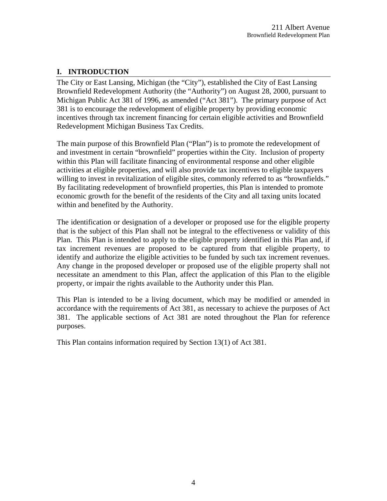## <span id="page-3-0"></span>**I. INTRODUCTION**

The City or East Lansing, Michigan (the "City"), established the City of East Lansing Brownfield Redevelopment Authority (the "Authority") on August 28, 2000, pursuant to Michigan Public Act 381 of 1996, as amended ("Act 381"). The primary purpose of Act 381 is to encourage the redevelopment of eligible property by providing economic incentives through tax increment financing for certain eligible activities and Brownfield Redevelopment Michigan Business Tax Credits.

The main purpose of this Brownfield Plan ("Plan") is to promote the redevelopment of and investment in certain "brownfield" properties within the City. Inclusion of property within this Plan will facilitate financing of environmental response and other eligible activities at eligible properties, and will also provide tax incentives to eligible taxpayers willing to invest in revitalization of eligible sites, commonly referred to as "brownfields." By facilitating redevelopment of brownfield properties, this Plan is intended to promote economic growth for the benefit of the residents of the City and all taxing units located within and benefited by the Authority.

The identification or designation of a developer or proposed use for the eligible property that is the subject of this Plan shall not be integral to the effectiveness or validity of this Plan. This Plan is intended to apply to the eligible property identified in this Plan and, if tax increment revenues are proposed to be captured from that eligible property, to identify and authorize the eligible activities to be funded by such tax increment revenues. Any change in the proposed developer or proposed use of the eligible property shall not necessitate an amendment to this Plan, affect the application of this Plan to the eligible property, or impair the rights available to the Authority under this Plan.

This Plan is intended to be a living document, which may be modified or amended in accordance with the requirements of Act 381, as necessary to achieve the purposes of Act 381. The applicable sections of Act 381 are noted throughout the Plan for reference purposes.

This Plan contains information required by Section 13(1) of Act 381.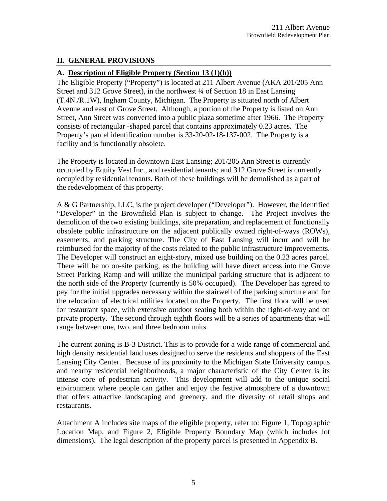#### <span id="page-4-0"></span>**II. GENERAL PROVISIONS**

#### **A. Description of Eligible Property (Section 13 (1)(h))**

The Eligible Property ("Property") is located at 211 Albert Avenue (AKA 201/205 Ann Street and 312 Grove Street), in the northwest ¼ of Section 18 in East Lansing (T.4N./R.1W), Ingham County, Michigan. The Property is situated north of Albert Avenue and east of Grove Street. Although, a portion of the Property is listed on Ann Street, Ann Street was converted into a public plaza sometime after 1966. The Property consists of rectangular -shaped parcel that contains approximately 0.23 acres. The Property's parcel identification number is 33-20-02-18-137-002. The Property is a facility and is functionally obsolete.

The Property is located in downtown East Lansing; 201/205 Ann Street is currently occupied by Equity Vest Inc., and residential tenants; and 312 Grove Street is currently occupied by residential tenants. Both of these buildings will be demolished as a part of the redevelopment of this property.

A & G Partnership, LLC, is the project developer ("Developer"). However, the identified "Developer" in the Brownfield Plan is subject to change. The Project involves the demolition of the two existing buildings, site preparation, and replacement of functionally obsolete public infrastructure on the adjacent publically owned right-of-ways (ROWs), easements, and parking structure. The City of East Lansing will incur and will be reimbursed for the majority of the costs related to the public infrastructure improvements. The Developer will construct an eight-story, mixed use building on the 0.23 acres parcel. There will be no on-site parking, as the building will have direct access into the Grove Street Parking Ramp and will utilize the municipal parking structure that is adjacent to the north side of the Property (currently is 50% occupied). The Developer has agreed to pay for the initial upgrades necessary within the stairwell of the parking structure and for the relocation of electrical utilities located on the Property. The first floor will be used for restaurant space, with extensive outdoor seating both within the right-of-way and on private property. The second through eighth floors will be a series of apartments that will range between one, two, and three bedroom units.

The current zoning is B-3 District. This is to provide for a wide range of commercial and high density residential land uses designed to serve the residents and shoppers of the East Lansing City Center. Because of its proximity to the Michigan State University campus and nearby residential neighborhoods, a major characteristic of the City Center is its intense core of pedestrian activity. This development will add to the unique social environment where people can gather and enjoy the festive atmosphere of a downtown that offers attractive landscaping and greenery, and the diversity of retail shops and restaurants.

Attachment A includes site maps of the eligible property, refer to: Figure 1, Topographic Location Map, and Figure 2, Eligible Property Boundary Map (which includes lot dimensions). The legal description of the property parcel is presented in Appendix B.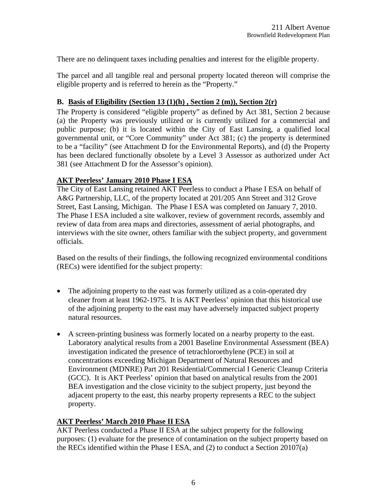<span id="page-5-0"></span>There are no delinquent taxes including penalties and interest for the eligible property.

The parcel and all tangible real and personal property located thereon will comprise the eligible property and is referred to herein as the "Property."

#### **B. Basis of Eligibility (Section 13 (1)(h) , Section 2 (m)), Section 2(r)**

The Property is considered "eligible property" as defined by Act 381, Section 2 because (a) the Property was previously utilized or is currently utilized for a commercial and public purpose; (b) it is located within the City of East Lansing, a qualified local governmental unit, or "Core Community" under Act 381; (c) the property is determined to be a "facility" (see Attachment D for the Environmental Reports), and (d) the Property has been declared functionally obsolete by a Level 3 Assessor as authorized under Act 381 (see Attachment D for the Assessor's opinion).

#### **AKT Peerless' January 2010 Phase I ESA**

The City of East Lansing retained AKT Peerless to conduct a Phase I ESA on behalf of A&G Partnership, LLC, of the property located at 201/205 Ann Street and 312 Grove Street, East Lansing, Michigan. The Phase I ESA was completed on January 7, 2010. The Phase I ESA included a site walkover, review of government records, assembly and review of data from area maps and directories, assessment of aerial photographs, and interviews with the site owner, others familiar with the subject property, and government officials.

Based on the results of their findings, the following recognized environmental conditions (RECs) were identified for the subject property:

- The adjoining property to the east was formerly utilized as a coin-operated dry cleaner from at least 1962-1975. It is AKT Peerless' opinion that this historical use of the adjoining property to the east may have adversely impacted subject property natural resources.
- A screen-printing business was formerly located on a nearby property to the east. Laboratory analytical results from a 2001 Baseline Environmental Assessment (BEA) investigation indicated the presence of tetrachloroethylene (PCE) in soil at concentrations exceeding Michigan Department of Natural Resources and Environment (MDNRE) Part 201 Residential/Commercial I Generic Cleanup Criteria (GCC). It is AKT Peerless' opinion that based on analytical results from the 2001 BEA investigation and the close vicinity to the subject property, just beyond the adjacent property to the east, this nearby property represents a REC to the subject property.

#### **AKT Peerless' March 2010 Phase II ESA**

AKT Peerless conducted a Phase II ESA at the subject property for the following purposes: (1) evaluate for the presence of contamination on the subject property based on the RECs identified within the Phase I ESA, and (2) to conduct a Section 20107(a)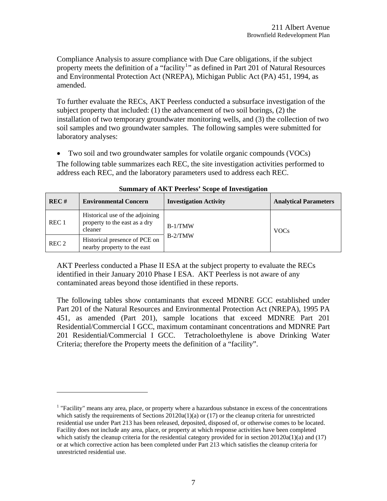Compliance Analysis to assure compliance with Due Care obligations, if the subject property meets the definition of a "facility<sup>[1](#page-6-0)</sup>" as defined in Part 201 of Natural Resources and Environmental Protection Act (NREPA), Michigan Public Act (PA) 451, 1994, as amended.

To further evaluate the RECs, AKT Peerless conducted a subsurface investigation of the subject property that included: (1) the advancement of two soil borings, (2) the installation of two temporary groundwater monitoring wells, and (3) the collection of two soil samples and two groundwater samples. The following samples were submitted for laboratory analyses:

• Two soil and two groundwater samples for volatile organic compounds (VOCs)

The following table summarizes each REC, the site investigation activities performed to address each REC, and the laboratory parameters used to address each REC.

| REC#             | <b>Environmental Concern</b>                                                | <b>Investigation Activity</b> | <b>Analytical Parameters</b> |
|------------------|-----------------------------------------------------------------------------|-------------------------------|------------------------------|
| REC <sub>1</sub> | Historical use of the adjoining<br>property to the east as a dry<br>cleaner | $B-1/TMW$                     | <b>VOCs</b>                  |
| REC <sub>2</sub> | Historical presence of PCE on<br>nearby property to the east                | $B-2/TMW$                     |                              |

**Summary of AKT Peerless' Scope of Investigation** 

AKT Peerless conducted a Phase II ESA at the subject property to evaluate the RECs identified in their January 2010 Phase I ESA. AKT Peerless is not aware of any contaminated areas beyond those identified in these reports.

The following tables show contaminants that exceed MDNRE GCC established under Part 201 of the Natural Resources and Environmental Protection Act (NREPA), 1995 PA 451, as amended (Part 201), sample locations that exceed MDNRE Part 201 Residential/Commercial I GCC, maximum contaminant concentrations and MDNRE Part 201 Residential/Commercial I GCC. Tetracholoethylene is above Drinking Water Criteria; therefore the Property meets the definition of a "facility".

 $\overline{a}$ 

<span id="page-6-0"></span><sup>&</sup>lt;sup>1</sup> "Facility" means any area, place, or property where a hazardous substance in excess of the concentrations which satisfy the requirements of Sections  $20120a(1)(a)$  or (17) or the cleanup criteria for unrestricted residential use under Part 213 has been released, deposited, disposed of, or otherwise comes to be located. Facility does not include any area, place, or property at which response activities have been completed which satisfy the cleanup criteria for the residential category provided for in section  $20120a(1)(a)$  and (17) or at which corrective action has been completed under Part 213 which satisfies the cleanup criteria for unrestricted residential use.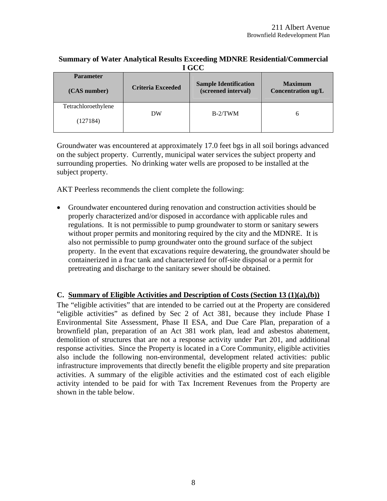#### <span id="page-7-0"></span>**Summary of Water Analytical Results Exceeding MDNRE Residential/Commercial I GCC**

| <b>Parameter</b>                | <b>Criteria Exceeded</b> | <b>Sample Identification</b> | <b>Maximum</b>     |
|---------------------------------|--------------------------|------------------------------|--------------------|
| (CAS number)                    |                          | (screened interval)          | Concentration ug/L |
| Tetrachloroethylene<br>(127184) | DW                       | $B-2/TWM$                    | h                  |

Groundwater was encountered at approximately 17.0 feet bgs in all soil borings advanced on the subject property. Currently, municipal water services the subject property and surrounding properties. No drinking water wells are proposed to be installed at the subject property.

AKT Peerless recommends the client complete the following:

• Groundwater encountered during renovation and construction activities should be properly characterized and/or disposed in accordance with applicable rules and regulations. It is not permissible to pump groundwater to storm or sanitary sewers without proper permits and monitoring required by the city and the MDNRE. It is also not permissible to pump groundwater onto the ground surface of the subject property. In the event that excavations require dewatering, the groundwater should be containerized in a frac tank and characterized for off-site disposal or a permit for pretreating and discharge to the sanitary sewer should be obtained.

#### **C. Summary of Eligible Activities and Description of Costs (Section 13 (1)(a),(b))**

The "eligible activities" that are intended to be carried out at the Property are considered "eligible activities" as defined by Sec 2 of Act 381, because they include Phase I Environmental Site Assessment, Phase II ESA, and Due Care Plan, preparation of a brownfield plan, preparation of an Act 381 work plan, lead and asbestos abatement, demolition of structures that are not a response activity under Part 201, and additional response activities. Since the Property is located in a Core Community, eligible activities also include the following non-environmental, development related activities: public infrastructure improvements that directly benefit the eligible property and site preparation activities. A summary of the eligible activities and the estimated cost of each eligible activity intended to be paid for with Tax Increment Revenues from the Property are shown in the table below.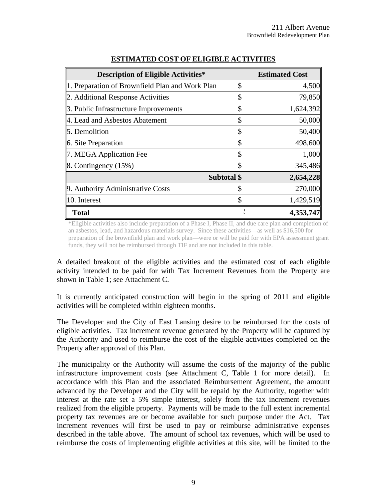| <b>Description of Eligible Activities*</b>      |             | <b>Estimated Cost</b> |
|-------------------------------------------------|-------------|-----------------------|
| 1. Preparation of Brownfield Plan and Work Plan | \$          | 4,500                 |
| 2. Additional Response Activities               | \$          | 79,850                |
| 3. Public Infrastructure Improvements           | \$          | 1,624,392             |
| 4. Lead and Asbestos Abatement                  | \$          | 50,000                |
| 5. Demolition                                   | \$          | 50,400                |
| 6. Site Preparation                             | \$          | 498,600               |
| 7. MEGA Application Fee                         | \$          | 1,000                 |
| $\vert$ 8. Contingency (15%)                    | \$          | 345,486               |
|                                                 | Subtotal \$ | 2,654,228             |
| 9. Authority Administrative Costs               | \$          | 270,000               |
| $\parallel$ 10. Interest                        |             | 1,429,519             |
| <b>Total</b>                                    |             | 4,353,747             |

#### **ESTIMATED COST OF ELIGIBLE ACTIVITIES**

\*Eligible activities also include preparation of a Phase I, Phase II, and due care plan and completion of an asbestos, lead, and hazardous materials survey. Since these activities—as well as \$16,500 for preparation of the brownfield plan and work plan—were or will be paid for with EPA assessment grant funds, they will not be reimbursed through TIF and are not included in this table.

A detailed breakout of the eligible activities and the estimated cost of each eligible activity intended to be paid for with Tax Increment Revenues from the Property are shown in Table 1; see Attachment C.

It is currently anticipated construction will begin in the spring of 2011 and eligible activities will be completed within eighteen months.

The Developer and the City of East Lansing desire to be reimbursed for the costs of eligible activities. Tax increment revenue generated by the Property will be captured by the Authority and used to reimburse the cost of the eligible activities completed on the Property after approval of this Plan.

The municipality or the Authority will assume the costs of the majority of the public infrastructure improvement costs (see Attachment C, Table 1 for more detail). In accordance with this Plan and the associated Reimbursement Agreement, the amount advanced by the Developer and the City will be repaid by the Authority, together with interest at the rate set a 5% simple interest, solely from the tax increment revenues realized from the eligible property. Payments will be made to the full extent incremental property tax revenues are or become available for such purpose under the Act. Tax increment revenues will first be used to pay or reimburse administrative expenses described in the table above. The amount of school tax revenues, which will be used to reimburse the costs of implementing eligible activities at this site, will be limited to the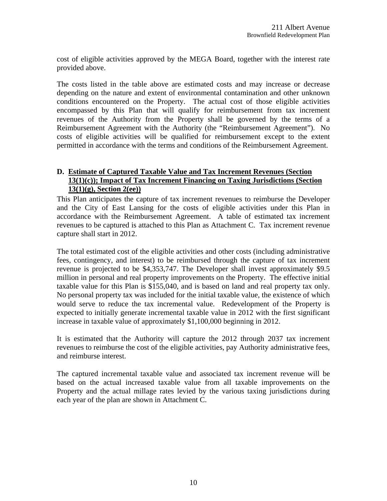<span id="page-9-0"></span>cost of eligible activities approved by the MEGA Board, together with the interest rate provided above.

The costs listed in the table above are estimated costs and may increase or decrease depending on the nature and extent of environmental contamination and other unknown conditions encountered on the Property. The actual cost of those eligible activities encompassed by this Plan that will qualify for reimbursement from tax increment revenues of the Authority from the Property shall be governed by the terms of a Reimbursement Agreement with the Authority (the "Reimbursement Agreement"). No costs of eligible activities will be qualified for reimbursement except to the extent permitted in accordance with the terms and conditions of the Reimbursement Agreement.

## **D. Estimate of Captured Taxable Value and Tax Increment Revenues (Section 13(1)(c)); Impact of Tax Increment Financing on Taxing Jurisdictions (Section 13(1)(g), Section 2(ee))**

This Plan anticipates the capture of tax increment revenues to reimburse the Developer and the City of East Lansing for the costs of eligible activities under this Plan in accordance with the Reimbursement Agreement. A table of estimated tax increment revenues to be captured is attached to this Plan as Attachment C. Tax increment revenue capture shall start in 2012.

The total estimated cost of the eligible activities and other costs (including administrative fees, contingency, and interest) to be reimbursed through the capture of tax increment revenue is projected to be \$4,353,747. The Developer shall invest approximately \$9.5 million in personal and real property improvements on the Property. The effective initial taxable value for this Plan is \$155,040, and is based on land and real property tax only. No personal property tax was included for the initial taxable value, the existence of which would serve to reduce the tax incremental value. Redevelopment of the Property is expected to initially generate incremental taxable value in 2012 with the first significant increase in taxable value of approximately \$1,100,000 beginning in 2012.

It is estimated that the Authority will capture the 2012 through 2037 tax increment revenues to reimburse the cost of the eligible activities, pay Authority administrative fees, and reimburse interest.

The captured incremental taxable value and associated tax increment revenue will be based on the actual increased taxable value from all taxable improvements on the Property and the actual millage rates levied by the various taxing jurisdictions during each year of the plan are shown in Attachment C.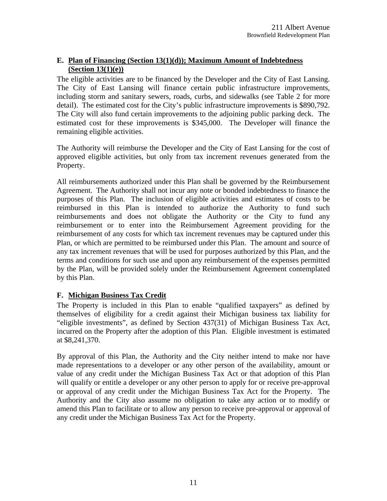## <span id="page-10-0"></span>**E. Plan of Financing (Section 13(1)(d)); Maximum Amount of Indebtedness (Section 13(1)(e))**

The eligible activities are to be financed by the Developer and the City of East Lansing. The City of East Lansing will finance certain public infrastructure improvements, including storm and sanitary sewers, roads, curbs, and sidewalks (see Table 2 for more detail). The estimated cost for the City's public infrastructure improvements is \$890,792. The City will also fund certain improvements to the adjoining public parking deck. The estimated cost for these improvements is \$345,000. The Developer will finance the remaining eligible activities.

The Authority will reimburse the Developer and the City of East Lansing for the cost of approved eligible activities, but only from tax increment revenues generated from the Property.

All reimbursements authorized under this Plan shall be governed by the Reimbursement Agreement. The Authority shall not incur any note or bonded indebtedness to finance the purposes of this Plan. The inclusion of eligible activities and estimates of costs to be reimbursed in this Plan is intended to authorize the Authority to fund such reimbursements and does not obligate the Authority or the City to fund any reimbursement or to enter into the Reimbursement Agreement providing for the reimbursement of any costs for which tax increment revenues may be captured under this Plan, or which are permitted to be reimbursed under this Plan. The amount and source of any tax increment revenues that will be used for purposes authorized by this Plan, and the terms and conditions for such use and upon any reimbursement of the expenses permitted by the Plan, will be provided solely under the Reimbursement Agreement contemplated by this Plan.

# **F. Michigan Business Tax Credit**

The Property is included in this Plan to enable "qualified taxpayers" as defined by themselves of eligibility for a credit against their Michigan business tax liability for "eligible investments", as defined by Section 437(31) of Michigan Business Tax Act, incurred on the Property after the adoption of this Plan. Eligible investment is estimated at \$8,241,370.

By approval of this Plan, the Authority and the City neither intend to make nor have made representations to a developer or any other person of the availability, amount or value of any credit under the Michigan Business Tax Act or that adoption of this Plan will qualify or entitle a developer or any other person to apply for or receive pre-approval or approval of any credit under the Michigan Business Tax Act for the Property. The Authority and the City also assume no obligation to take any action or to modify or amend this Plan to facilitate or to allow any person to receive pre-approval or approval of any credit under the Michigan Business Tax Act for the Property.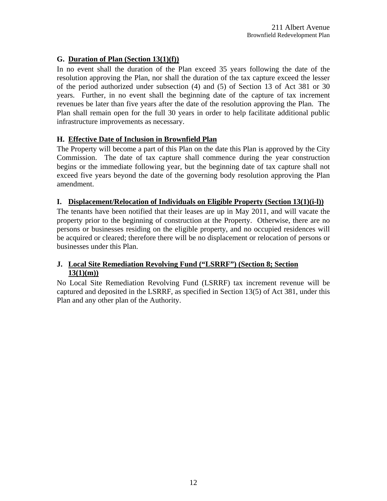# <span id="page-11-0"></span>**G. Duration of Plan (Section 13(1)(f))**

In no event shall the duration of the Plan exceed 35 years following the date of the resolution approving the Plan, nor shall the duration of the tax capture exceed the lesser of the period authorized under subsection (4) and (5) of Section 13 of Act 381 or 30 years. Further, in no event shall the beginning date of the capture of tax increment revenues be later than five years after the date of the resolution approving the Plan. The Plan shall remain open for the full 30 years in order to help facilitate additional public infrastructure improvements as necessary.

## **H. Effective Date of Inclusion in Brownfield Plan**

The Property will become a part of this Plan on the date this Plan is approved by the City Commission. The date of tax capture shall commence during the year construction begins or the immediate following year, but the beginning date of tax capture shall not exceed five years beyond the date of the governing body resolution approving the Plan amendment.

## **I. Displacement/Relocation of Individuals on Eligible Property (Section 13(1)(i-l))**

The tenants have been notified that their leases are up in May 2011, and will vacate the property prior to the beginning of construction at the Property. Otherwise, there are no persons or businesses residing on the eligible property, and no occupied residences will be acquired or cleared; therefore there will be no displacement or relocation of persons or businesses under this Plan.

## **J. Local Site Remediation Revolving Fund ("LSRRF") (Section 8; Section 13(1)(m))**

No Local Site Remediation Revolving Fund (LSRRF) tax increment revenue will be captured and deposited in the LSRRF, as specified in Section 13(5) of Act 381, under this Plan and any other plan of the Authority.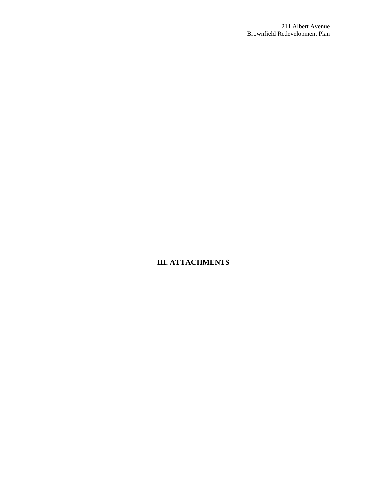**III. ATTACHMENTS**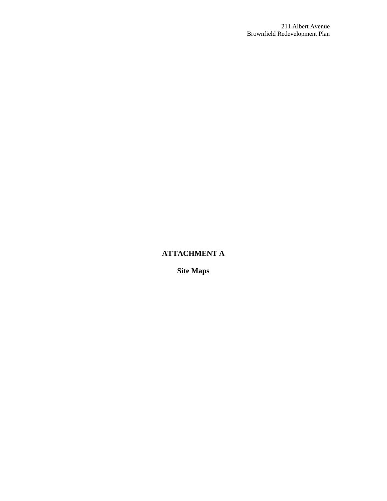# **ATTACHMENT A**

**Site Maps**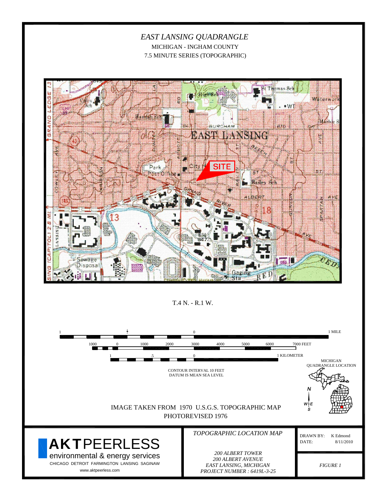*EAST LANSING QUADRANGLE* MICHIGAN - INGHAM COUNTY 7.5 MINUTE SERIES (TOPOGRAPHIC)



T.4 N. - R.1 W.

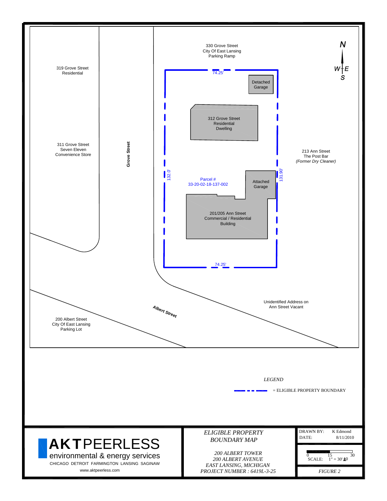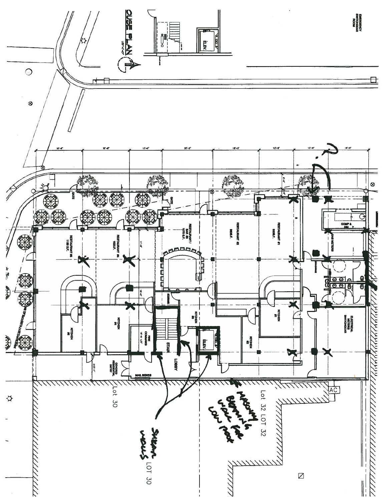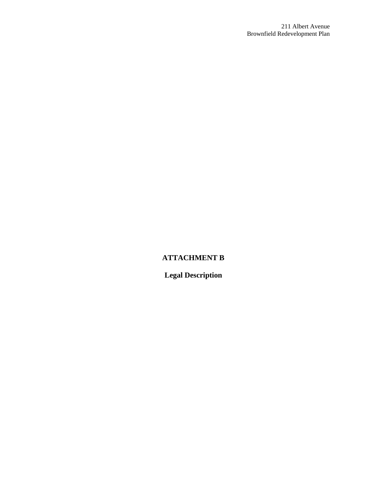# **ATTACHMENT B**

**Legal Description**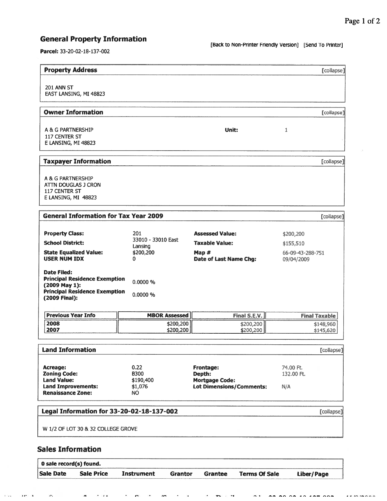# **General Property Information**

[Back to Non-Printer Friendly Version] [Send To Printer]

Parcel: 33-20-02-18-137-002

Sale Date

r.

1999.

 $\mathbf{r} \mathbf{r} = \mathbf{r}$ 

**Sale Price** 

 $\overline{a}$ 

 $\cdot$   $\cdot$ 

**Instrument** 

 $\bullet$ 

 $\bullet$ 

 $\overline{a}$ 

Grantor

Grantee

u.

| <b>Property Address</b>                                                                                                       |                                                        |                                                                                    |                                                          | [collapse]             |
|-------------------------------------------------------------------------------------------------------------------------------|--------------------------------------------------------|------------------------------------------------------------------------------------|----------------------------------------------------------|------------------------|
| <b>201 ANN ST</b><br>EAST LANSING, MI 48823                                                                                   |                                                        |                                                                                    |                                                          |                        |
| <b>Owner Information</b>                                                                                                      |                                                        |                                                                                    |                                                          | [collapse]             |
| A & G PARTNERSHIP<br>117 CENTER ST<br>E LANSING, MI 48823                                                                     |                                                        | Unit:                                                                              | 1                                                        |                        |
| <b>Taxpayer Information</b>                                                                                                   |                                                        |                                                                                    |                                                          | [collapse]             |
| A & G PARTNERSHIP<br>ATTN DOUGLAS J CRON<br>117 CENTER ST<br>E LANSING, MI 48823                                              |                                                        |                                                                                    |                                                          |                        |
| <b>General Information for Tax Year 2009</b>                                                                                  |                                                        |                                                                                    |                                                          | [collapse]             |
| <b>Property Class:</b><br><b>School District:</b><br><b>State Equalized Value:</b><br><b>USER NUM IDX</b>                     | 201<br>33010 - 33010 East<br>Lansing<br>\$200,200<br>0 | <b>Assessed Value:</b><br><b>Taxable Value:</b><br>Map #<br>Date of Last Name Chg: | \$200,200<br>\$155,510<br>66-09-43-288-751<br>09/04/2009 |                        |
| Date Filed:<br><b>Principal Residence Exemption</b><br>(2009 May 1):<br><b>Principal Residence Exemption</b><br>(2009 Final): | 0.0000 %<br>0.0000 %                                   |                                                                                    |                                                          |                        |
| <b>Previous Year Info</b>                                                                                                     | <b>MBOR Assessed</b>                                   | Final S.E.V.                                                                       |                                                          | <b>Final Taxable</b>   |
| 2008<br>2007                                                                                                                  | \$200,200<br>\$200,200                                 | \$200,200<br>\$200,200                                                             |                                                          | \$148,960<br>\$145,620 |
| <b>Land Information</b>                                                                                                       |                                                        |                                                                                    |                                                          | [collapse]             |
| <b>Acreage:</b><br><b>Zoning Code:</b><br><b>Land Value:</b><br><b>Land Improvements:</b><br><b>Renaissance Zone:</b>         | 0.22<br><b>B300</b><br>\$190,400<br>\$1,076<br>NO.     | Frontage:<br>Depth:<br><b>Mortgage Code:</b><br><b>Lot Dimensions/Comments:</b>    | 74.00 Ft.<br>132.00 Ft.<br>N/A                           |                        |
| Legal Information for 33-20-02-18-137-002                                                                                     |                                                        |                                                                                    |                                                          | [collapse]             |
| W 1/2 OF LOT 30 & 32 COLLEGE GROVE                                                                                            |                                                        |                                                                                    |                                                          |                        |
| <b>Sales Information</b>                                                                                                      |                                                        |                                                                                    |                                                          |                        |
| 0 sale record(s) found.                                                                                                       |                                                        |                                                                                    |                                                          |                        |

**Liber/Page** 

**Terms Of Sale**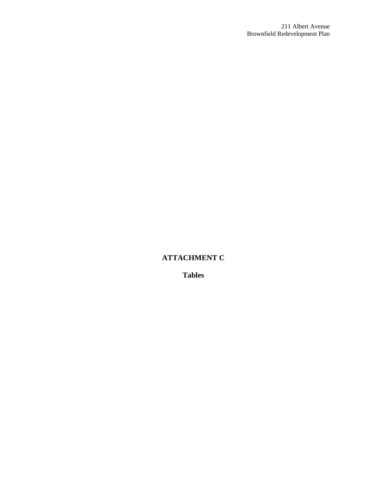# **ATTACHMENT C**

**Tables**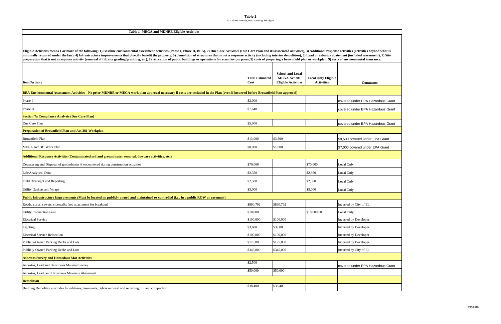**Table 1** 211 Albert Avenue, East Lansing, Michigan

| <b>TADIE 1- MEGA and MDNKE Engine ACUVIUES</b>                                                                                                                                                                                                                                                                                                                                                                                                                                                                                                                                                                                                                                                     |                                |                                                                              |                                                 |                                   |  |  |  |  |  |  |
|----------------------------------------------------------------------------------------------------------------------------------------------------------------------------------------------------------------------------------------------------------------------------------------------------------------------------------------------------------------------------------------------------------------------------------------------------------------------------------------------------------------------------------------------------------------------------------------------------------------------------------------------------------------------------------------------------|--------------------------------|------------------------------------------------------------------------------|-------------------------------------------------|-----------------------------------|--|--|--|--|--|--|
|                                                                                                                                                                                                                                                                                                                                                                                                                                                                                                                                                                                                                                                                                                    |                                |                                                                              |                                                 |                                   |  |  |  |  |  |  |
| Eligible Activities means 1 or more of the following: 1) Baseline environmental assessment activities (Phase I, Phase II, BEA), 2) Due Care Activities (Due Care Plan and its associated activities), 3) Additional response a<br>minimally required under the law), 4) Infrastructure improvements that directly benefit the property, 5) demolition of structures that is not a response activity (including interior demolition), 6) Lead or asbestos abateme<br>preparation that is not a response activity (removal of fill, site grading/grubbing, etc), 8) relocation of public buildings or operations for econ dev purposes, 9) costs of preparing a brownfield plan or workplan, 9) cost |                                |                                                                              |                                                 |                                   |  |  |  |  |  |  |
| <b>Item/Activity</b>                                                                                                                                                                                                                                                                                                                                                                                                                                                                                                                                                                                                                                                                               | <b>Total Estimated</b><br>Cost | <b>School and Local</b><br><b>MEGA Act 381</b><br><b>Eligible Activities</b> | <b>Local Only Eligible</b><br><b>Activities</b> | <b>Comments</b>                   |  |  |  |  |  |  |
| BEA Environmental Assessment Activities - No prior MDNRE or MEGA work plan approval necessary if costs are included in the Plan (even if incurred before Brownfield Plan approval)                                                                                                                                                                                                                                                                                                                                                                                                                                                                                                                 |                                |                                                                              |                                                 |                                   |  |  |  |  |  |  |
| Phase I                                                                                                                                                                                                                                                                                                                                                                                                                                                                                                                                                                                                                                                                                            | \$2,000                        |                                                                              |                                                 | covered under EPA Hazardous Grant |  |  |  |  |  |  |
| Phase II                                                                                                                                                                                                                                                                                                                                                                                                                                                                                                                                                                                                                                                                                           | \$7,640                        |                                                                              |                                                 | covered under EPA Hazardous Grant |  |  |  |  |  |  |
| <b>Section 7a Compliance Analysis (Due Care Plan)</b>                                                                                                                                                                                                                                                                                                                                                                                                                                                                                                                                                                                                                                              |                                |                                                                              |                                                 |                                   |  |  |  |  |  |  |
| Due Care Plan                                                                                                                                                                                                                                                                                                                                                                                                                                                                                                                                                                                                                                                                                      | \$5,000                        |                                                                              |                                                 | covered under EPA Hazardous Grant |  |  |  |  |  |  |
| <b>Preparation of Brownfield Plan and Act 381 Workplan</b>                                                                                                                                                                                                                                                                                                                                                                                                                                                                                                                                                                                                                                         |                                |                                                                              |                                                 |                                   |  |  |  |  |  |  |
| <b>Brownfield Plan</b>                                                                                                                                                                                                                                                                                                                                                                                                                                                                                                                                                                                                                                                                             | \$13,000                       | \$3,500                                                                      |                                                 | \$9,500 covered under EPA Grant   |  |  |  |  |  |  |
| MEGA Act 381 Work Plan                                                                                                                                                                                                                                                                                                                                                                                                                                                                                                                                                                                                                                                                             | \$8,000                        | \$1,000                                                                      |                                                 | \$7,000 covered under EPA Grant   |  |  |  |  |  |  |
| Additional Response Activities (Contaminated soil and groundwater removal, due care activities, etc.)                                                                                                                                                                                                                                                                                                                                                                                                                                                                                                                                                                                              |                                |                                                                              |                                                 |                                   |  |  |  |  |  |  |
| Dewatering and Disposal of groundwater if encountered during construction activities                                                                                                                                                                                                                                                                                                                                                                                                                                                                                                                                                                                                               | \$70,000                       |                                                                              | \$70,000                                        | Local Only                        |  |  |  |  |  |  |
| Lab/Analytical Data                                                                                                                                                                                                                                                                                                                                                                                                                                                                                                                                                                                                                                                                                | \$2,350                        |                                                                              | \$2,350                                         | Local Only                        |  |  |  |  |  |  |
| Field Oversight and Reporting                                                                                                                                                                                                                                                                                                                                                                                                                                                                                                                                                                                                                                                                      | \$2,500                        |                                                                              | \$2,500                                         | Local Only                        |  |  |  |  |  |  |
| Utility Gaskets and Wraps                                                                                                                                                                                                                                                                                                                                                                                                                                                                                                                                                                                                                                                                          | \$5,000                        |                                                                              | \$5,000                                         | Local Only                        |  |  |  |  |  |  |
| Public Infrastructure Improvements (Must be located on publicly owned and maintained or controlled (i.e., in a public ROW or easement)                                                                                                                                                                                                                                                                                                                                                                                                                                                                                                                                                             |                                |                                                                              |                                                 |                                   |  |  |  |  |  |  |
| Roads, curbs, sewers, sidewalks (see attachment for breakout)                                                                                                                                                                                                                                                                                                                                                                                                                                                                                                                                                                                                                                      | \$890,792                      | \$890,792                                                                    |                                                 | Incurred by City of EL            |  |  |  |  |  |  |
| <b>Utility Connection Fees</b>                                                                                                                                                                                                                                                                                                                                                                                                                                                                                                                                                                                                                                                                     | \$10,000                       |                                                                              | \$10,000.00                                     | Local Only                        |  |  |  |  |  |  |
| <b>Electrical Service</b>                                                                                                                                                                                                                                                                                                                                                                                                                                                                                                                                                                                                                                                                          | \$100,000                      | \$100,000                                                                    |                                                 | Incurred by Developer             |  |  |  |  |  |  |
| Lighting                                                                                                                                                                                                                                                                                                                                                                                                                                                                                                                                                                                                                                                                                           | \$3,600                        | \$3,600                                                                      |                                                 | Incurred by Developer             |  |  |  |  |  |  |
| <b>Electrical Service Relocation</b>                                                                                                                                                                                                                                                                                                                                                                                                                                                                                                                                                                                                                                                               | \$100,000                      | \$100,000                                                                    |                                                 | Incurred by Developer             |  |  |  |  |  |  |
| Publicly-Owned Parking Decks and Lots                                                                                                                                                                                                                                                                                                                                                                                                                                                                                                                                                                                                                                                              | \$175,000                      | \$175,000                                                                    |                                                 | Incurred by Developer             |  |  |  |  |  |  |
| Publicly-Owned Parking Decks and Lots                                                                                                                                                                                                                                                                                                                                                                                                                                                                                                                                                                                                                                                              | \$345,000                      | \$345,000                                                                    |                                                 | Incurred by City of EL            |  |  |  |  |  |  |
| <b>Asbestos Survey and Hazardous Mat Activities</b>                                                                                                                                                                                                                                                                                                                                                                                                                                                                                                                                                                                                                                                |                                |                                                                              |                                                 |                                   |  |  |  |  |  |  |
| Asbestos, Lead and Hazardous Material Survey                                                                                                                                                                                                                                                                                                                                                                                                                                                                                                                                                                                                                                                       | \$2,500                        |                                                                              |                                                 | covered under EPA Hazardous Grant |  |  |  |  |  |  |
| Asbestos, Lead, and Hazardous Materials Abatement                                                                                                                                                                                                                                                                                                                                                                                                                                                                                                                                                                                                                                                  | \$50,000                       | \$50,000                                                                     |                                                 |                                   |  |  |  |  |  |  |
| <b>Demolition</b>                                                                                                                                                                                                                                                                                                                                                                                                                                                                                                                                                                                                                                                                                  |                                |                                                                              |                                                 |                                   |  |  |  |  |  |  |
| Building Demolition-includes foundations, basements, debris removal and recycling, fill and compaction.                                                                                                                                                                                                                                                                                                                                                                                                                                                                                                                                                                                            | \$38,400                       | \$38,400                                                                     |                                                 |                                   |  |  |  |  |  |  |

#### **Table 1- MEGA and MDNRE Eligible Activities**

Г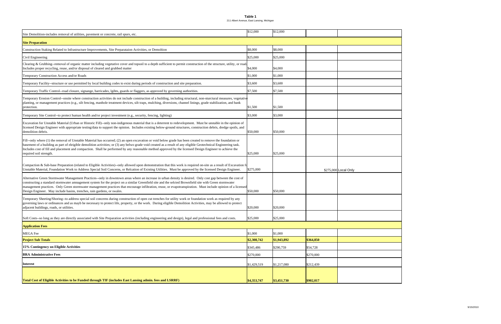**Table 1** 211 Albert Avenue, East Lansing, Michigan

| Site Demolition-includes removal of utilities, pavement or concrete, rail spurs, etc.                                                                                                                                                                                                                                                                                                                                                                                                                                                                              | \$12,000    | \$12,000    |           |                      |
|--------------------------------------------------------------------------------------------------------------------------------------------------------------------------------------------------------------------------------------------------------------------------------------------------------------------------------------------------------------------------------------------------------------------------------------------------------------------------------------------------------------------------------------------------------------------|-------------|-------------|-----------|----------------------|
| <b>Site Preparation</b>                                                                                                                                                                                                                                                                                                                                                                                                                                                                                                                                            |             |             |           |                      |
| Construction Staking Related to Infrastructure Improvements, Site Preparataion Activities, or Demoltion                                                                                                                                                                                                                                                                                                                                                                                                                                                            | \$8,000     | \$8,000     |           |                      |
| Civil Engineering                                                                                                                                                                                                                                                                                                                                                                                                                                                                                                                                                  | \$25,000    | \$25,000    |           |                      |
| Clearing & Grubbing--removal of organic matter including vegetative cover and topsoil to a depth sufficient to permit construction of the structure, utility, or road<br>Includes proper recycling, reuse, and/or disposal of cleared and grubbed matter                                                                                                                                                                                                                                                                                                           | \$4,000     | \$4,000     |           |                      |
| Temporary Construction Access and/or Roads                                                                                                                                                                                                                                                                                                                                                                                                                                                                                                                         | \$1,000     | \$1,000     |           |                      |
| Temporary Facility--structure or use permitted by local building codes to exist during periods of construction and site preparation.                                                                                                                                                                                                                                                                                                                                                                                                                               | \$3,600     | \$3,600     |           |                      |
| Temporary Traffic Control--road closure, signange, barricades, lgihts, guards or flaggers, as approved by governing authorities.                                                                                                                                                                                                                                                                                                                                                                                                                                   | \$7,500     | \$7,500     |           |                      |
| Temporary Erosion Control--onsite where construction activities do not include construction of a building, including structural, non-sturctural measures, vegetative<br>planting, or management practices (e.g., silt fencing, manhole treatment devices, silt traps, mulching, diversions, channel linings, grade stabilization, and bank<br>protection.                                                                                                                                                                                                          | \$1,500     | \$1,500     |           |                      |
| Temporary Site Control--to protect human health and/or project investment (e.g., security, fencing, lighting)                                                                                                                                                                                                                                                                                                                                                                                                                                                      | \$3,000     | \$3,000     |           |                      |
| Excavation for Unstable Material (Urban or Historic Fill)--only non-indigenous material that is a deterrent to redevelopment. Must be unstable in the opinion of<br>licensed Design Engineer with appropriate testing/data to support the opinion. Includes existing below-ground structures, construction debris, dredge spoils, and<br>demolition debris.                                                                                                                                                                                                        | \$50,000    | \$50,000    |           |                      |
| Fill--only where (1) the removal of Unstable Material has occurred; (2) an open excavation or void below grade has been created to remove the foundation or<br>basement of a building as part of eleigible demolition activities; or (3) any belwo grade void created as a result of any eligible Geotechnical Engineering task.<br>Includes cost of fill and placement and compaction. Shall be performed by any reasonable method approved by the licensed Design Engineer to achieve the<br>required soil strength.                                             | \$25,000    | \$25,000    |           |                      |
| Compaction & Sub-base Preparation (related to Eligible Activities)--only allowed upon demonstration that this work is required on-site as a result of Excavation for<br>Unstable Material, Foundation Work to Address Special Soil Concerns, or Relcation of Existing Utilities. Must be approved by the licensed Design Engineer.                                                                                                                                                                                                                                 | \$275,000   |             |           | \$275,000 Local Only |
| Alternative Green Stormwater Management Practices--only in downtown areas where an increase in urban density is desired. Only cost gap between the cost of<br>constructing a standard stormwater amnagement system for the project on a similar Greenfield site and the selcted Brownfield site with Green stormwater<br>management practices. Only Green stormwater management practices that encourage infiltration, reuse, or evapotranspiration. Must include opinion of a licensed<br>Design Engineer. May include basins, trenches, rain gardens, or swales. | \$50,000    | \$50,000    |           |                      |
| Temporary Sheeting/Shoring--to address special soil concerns during construction of open cut trenches for utility work or foundation work as required by any<br>governing laws or ordinances and as mayb be necessary to protect life, property, or the work. During eligible Demolition Activities, may be allowed to protect<br>adjacent buildings, roads, or utilities.                                                                                                                                                                                         | \$20,000    | \$20,000    |           |                      |
| Soft Costs--so long as they are directly associated with Site Preparation activities (including engineering and design), legal and professional fees and costs.                                                                                                                                                                                                                                                                                                                                                                                                    | \$25,000    | \$25,000    |           |                      |
| <b>Application Fees</b>                                                                                                                                                                                                                                                                                                                                                                                                                                                                                                                                            |             |             |           |                      |
| <b>MEGA</b> Fee                                                                                                                                                                                                                                                                                                                                                                                                                                                                                                                                                    | \$1,000     | \$1,000     |           |                      |
| <b>Project Sub Totals</b>                                                                                                                                                                                                                                                                                                                                                                                                                                                                                                                                          | \$2,308,742 | \$1,943,892 | \$364,850 |                      |
| 15% Contingency on Eligible Activities                                                                                                                                                                                                                                                                                                                                                                                                                                                                                                                             | \$345,486   | \$290,759   | \$54,728  |                      |
| <b>BRA Administrative Fees</b>                                                                                                                                                                                                                                                                                                                                                                                                                                                                                                                                     | \$270,000   |             | \$270,000 |                      |
| <b>Interest</b>                                                                                                                                                                                                                                                                                                                                                                                                                                                                                                                                                    | \$1,429,519 | \$1,217,080 | \$212,439 |                      |
| Total Cost of Eligible Activities to be Funded through TIF (includes East Lansing admin. fees and LSRRF)                                                                                                                                                                                                                                                                                                                                                                                                                                                           | \$4,353,747 | \$3,451,730 | \$902,017 |                      |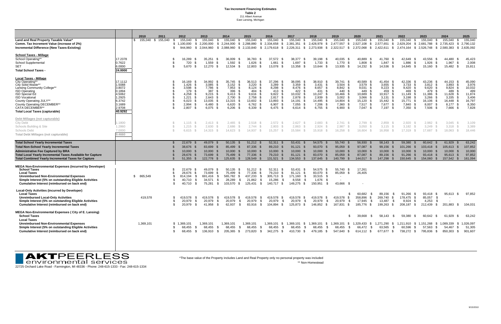**Tax Increment Financing Estimates Table 2** 211 Albert Avenue East Lansing, Michigan

|                                                                                                        |                   | 2010 |           | 2011               |          | 2012                                 | 2013                   |              | 2014                     | 2015                         |                                   | 2016                      |             | 2017                            | 2018 |                                      | 2019                                     | 2020                   |              | 2021                                     | 2022                            | 2023                        |           | 2024                         |              | 2025                   |
|--------------------------------------------------------------------------------------------------------|-------------------|------|-----------|--------------------|----------|--------------------------------------|------------------------|--------------|--------------------------|------------------------------|-----------------------------------|---------------------------|-------------|---------------------------------|------|--------------------------------------|------------------------------------------|------------------------|--------------|------------------------------------------|---------------------------------|-----------------------------|-----------|------------------------------|--------------|------------------------|
| Land and Real Property Taxable Value*                                                                  |                   | S.   |           | 155,040 \$ 155,040 |          | 155,040<br>- 95                      | 155,040                | - \$         | 155,040                  | - \$                         | 155,040<br>- 56                   | 155,040                   | - \$        | 155,040<br>- 85                 |      | 155,040<br>-SS                       | 155,040                                  | 155,040                | - \$         | 155,040 \$                               | 155,040<br>- \$                 | 155,040 \$                  |           | 155,040                      | - 95         | 155,040                |
| Comm. Tax Increment Value (increase of 2%)<br>Incremental Difference (New Taxes-Existing)              |                   |      |           |                    | -SG      | 1.100.000<br>- \$<br>944,960<br>- \$ | 2.200.000<br>2,044,960 | - \$         | \$2,244,000<br>2,088,960 | \$ 2,288,880<br>\$ 2,133,840 | - \$<br>- \$                      | 2,334,658<br>2,179,618 \$ | - \$        | 2,381,351<br>2,226,311 \$       | \$   | 2,428,978<br>\$<br>2,273,938<br>- \$ | 2,477,557<br>- \$<br>2,322,517<br>- \$   | 2,527,108<br>2,372,068 | - \$<br>- \$ | 2,577,651<br>\$<br>2,422,611<br><b>S</b> | 2,629,204<br>2,474,164          | \$2,681,788<br>\$ 2,526,748 |           | \$ 2,735,423<br>\$ 2,580,383 | - \$<br>- \$ | 2,790,132<br>2,635,092 |
| <b>School Taxes - Millage</b>                                                                          |                   |      |           |                    |          |                                      |                        |              |                          |                              |                                   |                           |             |                                 |      |                                      |                                          |                        |              |                                          |                                 |                             |           |                              |              |                        |
| School Operating**                                                                                     | 17.2378           |      |           |                    |          | 16,289<br>- 35                       | 35.251                 | - S          | 36.009                   | - \$                         | 36.783<br>- 96                    | 37.572                    | - \$        | 38.377<br>- \$                  |      | 39.198<br>- S                        | 40.035<br>- \$                           | 40.889                 | - 95         | 41,760<br>- 95                           | 42.649<br>- \$                  | 43.556                      | - \$      | 44.480                       |              | 45,423                 |
| School Supplemental<br><b>SET</b>                                                                      | 0.7622<br>6.0000  |      |           |                    | £.<br>\$ | 720<br>- S<br>5.670<br>- SS          | 1,559<br>$12,270$ \$   | - \$         | 1,592<br>12,534          | - \$<br>- \$                 | 1,626<br>12,803<br>- S            | 1,661<br>13,078 \$        | -\$         | 1,697<br>\$<br>13,358 \$        |      | 1,733<br>- \$<br>13,644 \$           | 1,770<br>- \$<br>13,935 \$               | 1,808<br>14,232 \$     | - \$         | 1,847<br>- \$<br>14,536<br>- S           | 1,886<br>14,845<br>- \$         | 1,926<br>-\$<br>15,160      | -S<br>- S | 1,967<br>15,482              | - \$         | 2,008<br>15,811        |
| <b>Total School Taxes</b>                                                                              | 24.0000           |      |           |                    |          |                                      |                        |              |                          |                              |                                   |                           |             |                                 |      |                                      |                                          |                        |              |                                          |                                 |                             |           |                              |              |                        |
| <b>Local Taxes - Millage</b>                                                                           |                   |      |           |                    |          |                                      |                        |              |                          |                              |                                   |                           |             |                                 |      |                                      |                                          |                        |              |                                          |                                 |                             |           |                              |              |                        |
| City Operating*<br>City Solid Waste**                                                                  | 17.1112<br>1.5088 |      |           |                    |          | 16,169<br>1,426                      | 34,992<br>3,085        |              | 35,745<br>3,152          | - \$<br>- \$                 | 36,513<br>3,220                   | 37,296<br>3,289           | - \$        | 38,095<br>-S<br>3,359           | Ŝ.   | 38,910<br>3,431<br>- \$              | 39,741<br>- \$<br>3,504<br>- \$          | 40,589<br>3,579        | -96          | 41,454<br>3,655<br>. የ                   | 42,336<br>3,733                 | 43,236<br>3,812<br>- \$     | - \$      | 44,153<br>3,893              |              | 45,090<br>3,976        |
| Lansing Community College**                                                                            | 3.8072            |      |           |                    |          | 3.598                                | 7.786                  |              | 7,953                    | - \$                         | 8,124                             | 8,298                     | - \$        | 8.476                           | £.   | 8.657<br>- 96                        | 8,842<br>- \$                            | 9.031<br>449           | - 95         | 9,223                                    | 9.420                           | 9,620<br>- \$<br>479        |           | 9,824                        |              | 10,032                 |
| <b>ISD Operating</b><br><b>ISD Special Ed</b>                                                          | 0.1894<br>4.5062  |      |           |                    |          | 179<br>4,258                         | 387<br>9,215           |              | 396<br>9,413             | Ж                            | 404<br>9,616                      | 413<br>9,822              | - 96        | 422<br>- \$<br>10,032<br>- 5    |      | 431<br>- SS<br>10,247                | 440<br>10,466                            | 10,689                 |              | 459<br>10,917                            | 469<br>11,149                   | 11,386                      |           | 489<br>11,628                |              | 499<br>11,874          |
| <b>ISD Vocational</b>                                                                                  | 1.2925            |      |           |                    |          | 1.221                                | 2.643                  |              | 2.700                    |                              | 2.758                             | 2.817                     |             | 2.878<br>-9                     |      | 2.939                                | 3.002                                    | 3.066                  |              | 3.131                                    | 3.198                           | 3.266                       |           | 3.335                        |              | 3.406                  |
| County Operating JULY**<br>County Operating DECEMBER**                                                 | 6.3742<br>3.1689  |      |           |                    | - 35     | 6,023<br>2.994                       | 13,035<br>6.480        |              | 13,315<br>6,620          | - \$<br>- \$                 | 13,602<br>6,762                   | 13,893<br>6,907           | - \$<br>- S | 14,191<br>- \$<br>7,055<br>- \$ |      | 14,495<br>- SS<br>7,206<br>- \$      | 14,804<br>- S<br>7,360<br>- \$           | 15,120<br>$7,517$ \$   | S            | 15,442<br>7,677                          | 15,771<br>- \$<br>7.840<br>- SS | 16,106<br>8,007             |           | 16,448<br>8,177              |              | 16,797<br>8,350        |
| <b>CATA DECEMBER**</b>                                                                                 | 2.9708            |      |           |                    | -S       | 2,807                                | 6,075                  | - \$         | 6,206                    | - \$                         | 6,339                             | 6,475                     |             | 6.614<br>- \$                   |      | 6,755<br>- \$                        | 6,900<br>- S                             | $7,047$ \$             |              | 7,197 \$                                 | 7,350<br>- \$                   | 7,506                       |           | 7,666                        |              | 7,828                  |
| <b>Total Local Taxes (capturable)</b>                                                                  | 40.9292           |      |           |                    |          |                                      |                        |              |                          |                              |                                   |                           |             |                                 |      |                                      |                                          |                        |              |                                          |                                 |                             |           |                              |              |                        |
| Debt Millages (not capturable)                                                                         |                   |      |           |                    |          |                                      |                        |              |                          |                              |                                   |                           |             |                                 |      |                                      |                                          |                        |              |                                          |                                 |                             |           |                              |              |                        |
| <b>City Debt</b>                                                                                       | 1.1800            |      |           |                    |          | 1,115                                | 2,413                  |              | 2,465                    |                              | 2,518                             | $2,572$ \$                |             | 2,627                           |      | 2,683                                | 2,741                                    | $2,799$ \$             |              | 2,859                                    | 2,920                           | 2,982                       |           | 3,045                        |              | 3,109                  |
| Schools Building & Site<br><b>Schools Debt</b>                                                         | 1.2860<br>7.0000  |      |           |                    |          | 1,215<br>6.615                       | 2,630<br>$14,315$ \$   |              | 2,686<br>14.623          |                              | 2,744<br>14,937                   | 2,803<br>15,257           | - S         | 2,863<br>15,584                 |      | 2,924<br>15,918                      | 2,987<br>16,258<br>- S                   | 3,050<br>16,604 \$     |              | 3,115<br>16,958                          | 3,182<br>17,319<br>- S          | 3,249<br>17,687             |           | 3,318<br>18,063              |              | 3,389<br>18,446        |
| <b>Total Debt Millages (not capturable)</b>                                                            | 9.4660            |      |           |                    |          |                                      |                        |              |                          |                              |                                   |                           |             |                                 |      |                                      |                                          |                        |              |                                          |                                 |                             |           |                              |              |                        |
|                                                                                                        |                   |      |           |                    |          |                                      |                        |              |                          |                              |                                   |                           |             |                                 |      |                                      |                                          |                        |              |                                          |                                 |                             |           |                              |              |                        |
| <b>Total School Yearly Incremental Taxes</b>                                                           |                   |      |           |                    |          | 22,679                               | 49,079 \$              |              | 50,135                   |                              | 51,212 \$                         | 52,311                    |             | 53,431                          |      | 54,575                               | 55,740                                   | 56,930                 |              | 58,143                                   | 59,380                          | 60.642                      |           | 61,929                       |              | 63.242                 |
| <b>Total Non-School Yearly Incremental Taxes</b><br><b>Administrative Fee Captured by BRA</b>          |                   |      |           |                    |          | 38,676<br>- 93<br>10,000             | 83,699<br>10,000       |              | 85,499<br>10,000         | - \$                         | 87,336<br>- \$<br>10,000          | 89,210 \$<br>10,000       |             | $91,121$ \$<br>10,000<br>- \$   |      | 93,070 \$<br>10,000<br>- \$          | 95,059<br><b>S</b><br>10,000<br><b>S</b> | 97,087 \$<br>10,000 \$ |              | 99,156<br>- \$<br>10,000                 | 101,266<br>10,000               | 103,418<br>10,000           | - \$      | 105,613<br>10,000            | - \$         | 107,852<br>10,000      |
| <b>Total Local Yearly Incremental Taxes Available for Capture</b>                                      |                   |      |           |                    |          | 28,676                               | 73,699                 |              | 75,499                   |                              | 77,336                            | 79,210                    |             | 81,121<br>- 95                  |      | 83,070<br>- \$                       | 85,059<br>- \$                           | 87,087                 | - 95         | 89,156                                   | 91,266                          | 93,418                      |           | 95,613                       | - \$         | 97,852                 |
| <b>Total Combined Yearly Incremental Taxes for Capture</b>                                             |                   |      |           |                    |          | 51,355                               | 122,778                |              | 125,635 \$               |                              | 128,549                           | 131,521                   |             | 134,553                         |      | 137,645                              | 140,799                                  | 144,017                |              | 147,298                                  | 150,645                         | 154,060                     |           | 157,542                      |              | 161,094                |
| <b>MEGA Non-Environmental Expenses (incurred by Developer)</b><br><b>School Taxes</b>                  |                   |      |           |                    |          | 22.679<br>- 86                       | 49,079                 |              | 50,135                   | - \$                         | 51.212<br>- S                     | 52,311                    | - \$        | 53.431<br>- \$                  |      | 54.575 \$                            | 55.740<br>- \$                           | 17,261                 |              |                                          |                                 |                             |           |                              |              |                        |
| <b>Local Taxes</b>                                                                                     |                   |      |           |                    |          | 28.676<br>- SS                       | 73,699                 | ዳ            | 75.499                   | -S                           | 77,336                            | 79,210                    | - \$        | 81.121                          | \$   | 83,070<br>- \$                       | 85,059<br>- \$                           | 26,405                 |              |                                          |                                 |                             |           |                              |              |                        |
| Unreimbursed Non-Environmental Expenses                                                                |                   | \$.  | 865,549   |                    |          | 814.194<br>- S                       | 691.416                | \$.          | 565,782                  | -SS                          | 437,233<br>\$.                    | 305,713                   | - \$        | 171,160                         | - \$ | 33,515<br>- \$                       |                                          |                        |              |                                          |                                 |                             |           |                              |              |                        |
| Simple Interest (5% on outstanding Eligible Activities<br>Cumulative Interest (reimbursed on back end) |                   |      |           |                    |          | 40.710<br>- \$<br>40.710<br>- \$     | 34.571<br>75,281       | - \$<br>- \$ | 28,289<br>103,570 \$     | -\$                          | 21.862<br>- \$<br>125,431<br>- \$ | 15,286<br>140,717 \$      | -\$         | 8.558<br>149,275 \$             | - \$ | 1.676<br>- \$<br>150.951<br>- \$     | 43.666<br>- 95                           |                        |              |                                          |                                 |                             |           |                              |              |                        |
|                                                                                                        |                   |      |           |                    |          |                                      |                        |              |                          |                              |                                   |                           |             |                                 |      |                                      |                                          |                        |              |                                          |                                 |                             |           |                              |              |                        |
| <b>Local-Only Activities (incurred by Developer)</b><br><b>Local Taxes</b>                             |                   |      |           |                    |          |                                      |                        |              |                          |                              |                                   |                           |             |                                 |      |                                      | \$                                       | 60,682                 | - 95         | 89,156<br>- \$                           | 91,266<br>- 56                  | 93,418                      | - \$      | 95,613                       | - 35         | 97,852                 |
| <b>Unreimbursed Local-Only Activities</b>                                                              |                   |      | 419,578   |                    |          | 19,578<br>- \$                       | 419,578                | - \$         | 419,578                  | - \$                         | 419.578<br>- \$                   | 419,578                   | - \$        | 419,578<br>-S                   |      | \$<br>419,578                        | 419,578<br>- \$                          | 358,896                | - \$         | 269,740<br>\$                            | 178,475<br>- \$                 | 85,057                      | -\$       |                              |              |                        |
| Simple Interest (5% on outstanding Eligible Activities                                                 |                   |      |           |                    |          | 20,979<br>-\$                        | 20,979                 | \$           | 20,979                   | -\$                          | 20,979<br>- \$                    | 20,979                    | -\$         | 20,979                          | - \$ | 20,979<br>- \$                       | 20,979<br>- \$                           | 17,945                 | - \$         | 13,487<br>-\$                            | 8,924<br>- \$                   | 4,253                       | \$        | $\sim$                       |              |                        |
| Cumulative Interest (reimbursed on back end)                                                           |                   |      |           |                    |          | 20.979<br>- \$                       | 41.958                 | - \$         | 62.937                   | - \$                         | 83,916<br>- \$                    | 104,894                   | - \$        | 125,873 \$                      |      | 146,852 \$                           | 167,831<br>- \$                          | 185,776 \$             |              | 199,263 \$                               | 208,187 \$                      | 212,439                     | - \$      | 201,883                      |              | 104,03'                |
| MEGA Non-Environmental Expenses ( City of E. Lansing)<br><b>School Taxes</b>                           |                   |      |           |                    |          |                                      |                        |              |                          |                              |                                   |                           |             |                                 |      |                                      | -S                                       | 39.668                 | - 96         | 58,143<br>- S                            | 59,380<br>- \$                  | 60,642                      | - S       | 61,929                       | - \$         | 63,242                 |
| <b>Local Taxes</b>                                                                                     |                   |      |           |                    |          |                                      |                        |              |                          |                              |                                   |                           |             |                                 |      |                                      |                                          |                        |              |                                          |                                 |                             |           |                              |              |                        |
| Unreimbursed Non-Environmental Expenses                                                                |                   |      | 1,369,101 |                    | S.       | 1.369.101                            | 1,369,101              |              | 1,369,101                |                              | 1,369,101                         | 1,369,101                 | - \$        | 1,369,101                       | - SI | 1,369,101<br>S.                      | 1,369,101<br>- \$                        | 1,329,433              | - \$         | 1,271,290<br>S.                          | 1.211.910                       | 1,151,268<br>- \$           |           | 1.089.339                    | S.           | 1,026,097              |
| Simple Interest (5% on outstanding Eligible Activities                                                 |                   |      |           |                    |          | 68,455<br>- \$                       | 68,455                 | - \$         | 68,455                   | \$                           | 68,455<br>- \$                    | 68,455                    | -\$         | 68,455                          | - \$ | 68,455<br>- \$                       | 68,455<br>-\$                            | 66,472                 | - \$         | 63,565<br>- \$                           | 60,596                          | -\$<br>57,563               | \$        | 54,467                       |              | 51,305                 |
| Cumulative Interest (reimbursed on back end)                                                           |                   |      |           |                    |          | 68.455<br>- \$                       | 136.910                | - SS         | 205,365 \$               |                              | 273,820<br>- \$                   | 342,275 \$                |             | 410.730 \$                      |      | 479,185 \$                           | 547.640 \$                               | 614,112 \$             |              | 677.677 \$                               | 738.272 \$                      | 795,836                     | - S       | 850.303                      | -SS          | 901.607                |
|                                                                                                        |                   |      |           |                    |          |                                      |                        |              |                          |                              |                                   |                           |             |                                 |      |                                      |                                          |                        |              |                                          |                                 |                             |           |                              |              |                        |

**ERLESS**<br>22725 Orchard Lake Road - Farmington, MI 48336 - Phone: 248-615-1333 - Fax: 248-615-1334

\*The base value of the Property includes Land and Real Property only no personal property was included \*\* Non-Homestead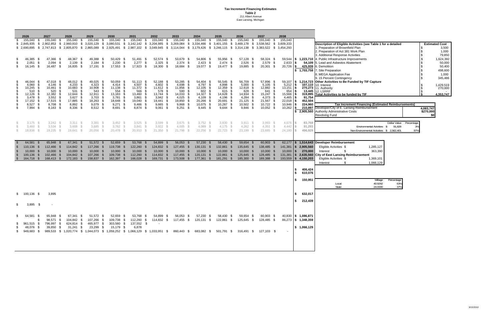**Tax Increment Financing Estimates Table 2** 211 Albert Avenue East Lansing, Michigan

| -SS                               | 2026<br>155,040                                                              | 2027<br>155,040<br>- \$                                                                                                                    | 2028<br>155,040<br>- \$              | S.                                                                                                                 | 2029<br>155,040 \$                                                                                                        | 2030<br>155,040                                                           | 2031<br>- \$ | 155,040<br>-SS                                                                                                    | 2032<br>155,040<br>- \$                                                                                                                                                                                                                                                                                              | 2033<br>155,040                                                        | 2034<br>155,040<br>- \$                                         | S.                                                          | 2035<br>155,040<br>- \$                                                                                                                | 2036<br>155,040<br>- S                                                     | 2037<br>155,040                                                                          | 2038<br>155,040<br>S.                                                                                                                                      |                  |                                                                           |                                                                                                                                                                                                                                                                                |                                                                                 |
|-----------------------------------|------------------------------------------------------------------------------|--------------------------------------------------------------------------------------------------------------------------------------------|--------------------------------------|--------------------------------------------------------------------------------------------------------------------|---------------------------------------------------------------------------------------------------------------------------|---------------------------------------------------------------------------|--------------|-------------------------------------------------------------------------------------------------------------------|----------------------------------------------------------------------------------------------------------------------------------------------------------------------------------------------------------------------------------------------------------------------------------------------------------------------|------------------------------------------------------------------------|-----------------------------------------------------------------|-------------------------------------------------------------|----------------------------------------------------------------------------------------------------------------------------------------|----------------------------------------------------------------------------|------------------------------------------------------------------------------------------|------------------------------------------------------------------------------------------------------------------------------------------------------------|------------------|---------------------------------------------------------------------------|--------------------------------------------------------------------------------------------------------------------------------------------------------------------------------------------------------------------------------------------------------------------------------|---------------------------------------------------------------------------------|
|                                   | \$2,845,935                                                                  | \$ 2,902,853                                                                                                                               | - \$                                 |                                                                                                                    | 2,960,910 \$ 3,020,129 \$ 3,080,531                                                                                       |                                                                           |              |                                                                                                                   | \$ 3,142,142 \$ 3,204,985<br>\$ 2,690,895 \$ 2,747,813 \$ 2,805,870 \$ 2,865,089 \$ 2,925,491 \$ 2,987,102 \$ 3,049,945 \$ 3,114,044 \$ 3,179,426 \$ 3,246,115 \$ 3,314,138 \$ 3,383,522 \$ 3,454,293                                                                                                                | \$ 3,269,084                                                           | - \$<br>3,334,466                                               |                                                             | $$3,401,155$ $$3,469,178$ $$$                                                                                                          |                                                                            | 3,538,562 \$ 3,609,333                                                                   |                                                                                                                                                            |                  |                                                                           | Description of Eligible Activities (see Table 1 for a detailed<br>1. Preparation of Brownfield Plan                                                                                                                                                                            | <b>Estimated Cost</b><br>3,500                                                  |
| S<br>S<br>\$                      | 46,385<br>2,051<br>16,145 \$                                                 | 47,366<br>- \$<br>- \$<br>2,094<br>16,487                                                                                                  | - \$<br>- \$<br>- \$                 | 48,367 \$<br>2,139<br>- \$<br>16,835 \$                                                                            | 49,388 \$<br>$2,184$ \$<br>17,191 \$                                                                                      | 50,429 \$<br>2,230<br>17,553 \$                                           | - \$         | $51,491$ \$<br>$2,277$ \$<br>17,923 \$                                                                            | 52,574 \$<br>$2,325$ \$<br>18,300 \$                                                                                                                                                                                                                                                                                 | 53,679 \$<br>$2,374$ \$<br>18,684 \$                                   | 54,806                                                          | - \$<br>$2,423$ \$<br>19,077 \$                             | 55,956 \$<br>$2,474$ \$<br>19,477 \$                                                                                                   | 57,128<br>- \$<br>2,526<br>- \$<br>19,885 \$                               | 58,324 \$<br>2,579 \$<br>$20,301$ \$                                                     | 2,633<br>20,726                                                                                                                                            | l \$             | 425,939<br>\$ 1,703,758                                                   | 2. Preparation of Act 381 Work Plan<br>3. Additional Response Activities<br>59,544 \$ 1,223,710 4. Public Infrastructure Improvements<br>54,109 5. Lead and Asbestos Abatement<br>6. Demolition<br>7. Site Preparation<br>3. MEGA Application Fee<br>9. 15 Percent Contingency | 1,000<br>79,850<br>1,624,392<br>50,000<br>50,400<br>498,600<br>1,000<br>345,486 |
| \$<br>S.<br>S.<br>SS.<br>\$<br>\$ | 46,044<br>4,060<br>10,245<br>510<br>12,126 \$<br>3,478<br>17,152 \$<br>8,527 | 47,018<br>- 5<br>4,146<br>- \$<br>10,461<br>- \$<br>520<br>12,382<br>3,552<br>17,515<br>8,708<br>- \$                                      | - \$<br>- 35                         | 48,012<br>- \$<br>S.<br>4,233<br>10,683 \$<br>531<br>-S<br>12,644 \$<br>3,627<br>-\$<br>17,885<br>- \$<br>8,892 \$ | 49,025<br>- \$<br>4,323<br>- \$<br>10,908 \$<br>543<br>- 35<br>12,911 \$<br>3,703<br>- \$<br>18,263<br>- \$<br>$9,079$ \$ | 50,059<br>4,414<br>11,138<br>554<br>13,183 \$<br>3,781<br>18,648<br>9,271 |              | 51,113<br>- \$<br>4,507<br>\$<br>11,372 \$<br>566<br>\$.<br>13,460 \$<br>3,861<br>- \$<br>19,040 \$<br>$9,466$ \$ | 52,188<br>- \$<br>4,602<br>- \$<br>$11,612$ \$<br>578<br>- S<br>13,744<br>- \$<br>3,942<br>19,441<br>- \$<br>$9,665$ \$                                                                                                                                                                                              | 53,285<br>4,698<br>11,856<br>590<br>14,033<br>4,025<br>19,850<br>9,868 | 54,404<br>4,797<br>$12,105$ \$<br>602<br>4,109<br>20,266        | - \$<br>\$<br>- \$<br>14,327 \$<br>-\$<br>- \$<br>10,075 \$ | 55,545<br>- \$<br>4,898<br>- \$<br>12,359<br>- \$<br>615<br>- S<br>14,628<br>- \$<br>4,196<br>- \$<br>20,691<br>- \$<br>10,287<br>- \$ | 56,709<br>5,000<br>12,618<br>628<br>14,934 \$<br>4,284<br>21,125<br>10,502 | 57,896<br>5,105<br>12,882 \$<br>641<br>15,247 \$<br>$4,373$ \$<br>21,567 \$<br>10,722 \$ | - 5<br>\$<br>5,212<br>$\begin{array}{ c c c }\n 13,151 & \text{\$} \\ 654 & \text{\$} \\ \end{array}$<br>-S<br>15,566 \$<br>4,465<br>22,018<br>$10,946$ \$ | l S<br>l \$      | 91,754<br>452,504<br>224,960                                              | 59,107 \ \$ 1,214,723 Other Activities to Be Funded by TIF Capture<br>107,110 10. Interest<br>270,273 11. Authority<br>13,445 12. LSRRF<br>319,895 Total Activities to be funded by TIF<br><b>Tax Increment Financing (Estimated Reimbursements)</b>                           | 1,429,519<br>270,000<br>4,353,747                                               |
| \$                                | 7,994                                                                        | $8,163$ \$<br>- \$                                                                                                                         |                                      | 8,336 \$                                                                                                           | $8,512$ \$                                                                                                                | 8,691                                                                     | - \$         | 8,874 \$                                                                                                          | 9,061<br>- \$                                                                                                                                                                                                                                                                                                        | 9,251                                                                  | - \$                                                            | $9,445$ \$                                                  | 9,644<br>- \$                                                                                                                          | $9,846$ \$                                                                 | $10,052$ \$                                                                              | 10,262                                                                                                                                                     | l Si             |                                                                           | 210,897 Developer/City of E. Lansing Reimbursement<br>\$ 2,905,560 Authority Administrative Costs<br><b>Revolving Fund</b>                                                                                                                                                     | 4,083,747<br>\$270,000<br>\$0                                                   |
|                                   | $3,175$ \$<br>3,460<br>18,836 \$                                             | $3,242$ \$<br>$3,534$ \$<br>$\mathcal{S}$<br>$19,235$ \$                                                                                   |                                      | $3,311$ \$<br>3,608<br>19,641 \$                                                                                   | $3,381$ \$<br>$3,685$ \$<br>$20,056$ \$                                                                                   | $3,452$ \$<br>3,762<br>20,478 \$                                          |              | $3,525$ \$<br>$3,841$ \$<br>20,910 \$                                                                             | $3,599$ \$<br>$3,922$ \$<br>$21,350$ \$                                                                                                                                                                                                                                                                              | $3,675$ \$<br>4,005<br>21,798                                          | 4,089<br>22,256                                                 | $3,752$ \$<br>- S                                           | $3,830$ \$<br>$4,175$ \$<br>$22,723$ \$                                                                                                | $3,911$ \$<br>4,262<br>23,199 \$                                           | $3,993$ \$<br>$4,351$ \$<br>23.685 \$                                                    | 4,076<br>4,442<br>24,180                                                                                                                                   | IS.<br>ΙS        | 83,768<br>91,293<br>496,929                                               | Dollar Value<br>Percentage<br>Environmental Actvities \$<br>91,828<br>3%<br>Non-Environmental Activities \$ 2,562,401<br>97%                                                                                                                                                   |                                                                                 |
| - \$<br>-\$<br>-S                 | 64,581<br>110,136 \$<br>10,000<br>100,136<br>164,718                         | 65,948<br>- \$<br>112,466<br>10,000<br>- \$<br>102,466<br>- 5<br>168,413<br>- S                                                            | - \$<br>10,000<br>104,842<br>172,183 | 67,341 \$<br>$114,842$ \$<br>-S<br>- \$                                                                            | 51,572 \$<br>117,266 \$<br>10,000<br>- \$<br>107,266<br>- \$<br>158,837<br>- \$                                           | 52,659<br>119,738 \$<br>10,000<br>109,738<br>162,397                      |              | 53,768<br>122,260 \$<br>10,000<br>112,260<br>166,028                                                              | 54,899<br>- \$<br>124,832 \$<br>10,000<br>- \$<br>114,832<br>- \$<br>169,731<br>- \$                                                                                                                                                                                                                                 | 56,053<br>127,455<br>10,000<br>117,455<br>173,508                      | 57,230<br>130,131 \$<br>- \$<br>10,000<br>120,131<br>177,361 \$ |                                                             | 58,430<br>- \$<br>132,861<br>\$<br>10,000<br>- \$<br>122,861<br>- \$<br>181,291<br>- S                                                 | 59,654<br>135,645 \$<br>10,000<br>125,645<br>185,300                       | 60,903<br>138,485 \$<br>10,000<br>128,485<br>189,388                                     | 141,381<br>$10,000$   \$<br>131,381<br>193,559                                                                                                             | <b>S</b><br>l Si | $\frac{1}{2}$ \$ 2,905,560<br>270,000<br>2,635,560<br>4,150,203           | 62,177   \$ 1,514,643 Developer Reimbursement<br>Eligible Activities \$<br>1,285,127<br>363,390<br>Interest<br><b>City of East Lansing Reimbursement</b><br>Eligible Activities \$<br>1,369,101<br>-\$<br>1,066,129<br>Interest                                                |                                                                                 |
|                                   |                                                                              |                                                                                                                                            |                                      |                                                                                                                    |                                                                                                                           |                                                                           |              |                                                                                                                   |                                                                                                                                                                                                                                                                                                                      |                                                                        |                                                                 |                                                             |                                                                                                                                        |                                                                            |                                                                                          |                                                                                                                                                            | - \$<br>-\$      | 406,424<br>610,076                                                        |                                                                                                                                                                                                                                                                                |                                                                                 |
|                                   |                                                                              |                                                                                                                                            |                                      |                                                                                                                    |                                                                                                                           |                                                                           |              |                                                                                                                   |                                                                                                                                                                                                                                                                                                                      |                                                                        |                                                                 |                                                             |                                                                                                                                        |                                                                            |                                                                                          |                                                                                                                                                            | \$               | 150,951                                                                   | Millage<br>Percentage<br>40.9292<br>63%<br>Local<br>37%<br>State<br>24.0000                                                                                                                                                                                                    |                                                                                 |
|                                   | $$100,136$ \$                                                                | 3,895                                                                                                                                      |                                      |                                                                                                                    |                                                                                                                           |                                                                           |              |                                                                                                                   |                                                                                                                                                                                                                                                                                                                      |                                                                        |                                                                 |                                                             |                                                                                                                                        |                                                                            |                                                                                          |                                                                                                                                                            | \$               | 632,017                                                                   |                                                                                                                                                                                                                                                                                |                                                                                 |
| \$.                               | 3,895                                                                        | - \$<br>$\overline{\phantom{a}}$                                                                                                           |                                      |                                                                                                                    |                                                                                                                           |                                                                           |              |                                                                                                                   |                                                                                                                                                                                                                                                                                                                      |                                                                        |                                                                 |                                                             |                                                                                                                                        |                                                                            |                                                                                          |                                                                                                                                                            | -S.              | 212,439                                                                   |                                                                                                                                                                                                                                                                                |                                                                                 |
| S.                                | 64,581 \$                                                                    | 65,948 \$<br>S.<br>961,515 \$796,997 \$624,814 \$465,977 \$303,580 \$137,552 \$<br>48,076 \$ 39,850 \$ 31,241 \$ 23,299 \$ 15,179 \$ 6,878 |                                      |                                                                                                                    | 67,341 \$ 51,572 \$                                                                                                       |                                                                           |              |                                                                                                                   | 52,659 \$ 53,768 \$ 54,899 \$ 56,053 \$ 57,230 \$<br>98,571 \$ 104,842 \$ 107,266 \$ 109,738 \$ 112,260 \$ 114,832 \$ 117,455 \$ 120,131 \$ 122,861 \$ 125,645 \$ 128,485 \$<br>\$949,683 \$989,533 \$1,020,774 \$1,044,073 \$1,059,252 \$1,066,129 \$1,033,951 \$860,443 \$683,082 \$501,791 \$316,491 \$127,103 \$ |                                                                        |                                                                 |                                                             | 58,430 \$                                                                                                                              | 59,654 \$                                                                  | 60,903 \$                                                                                |                                                                                                                                                            |                  | $40,830$   \$ 1,086,871<br>86,273 \$ 1,348,359<br>$\frac{1}{2}$ 1,066,129 |                                                                                                                                                                                                                                                                                |                                                                                 |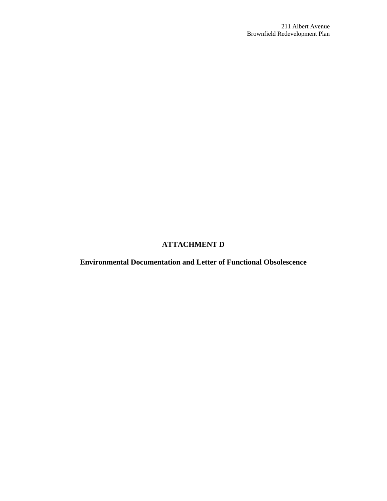## **ATTACHMENT D**

**Environmental Documentation and Letter of Functional Obsolescence**